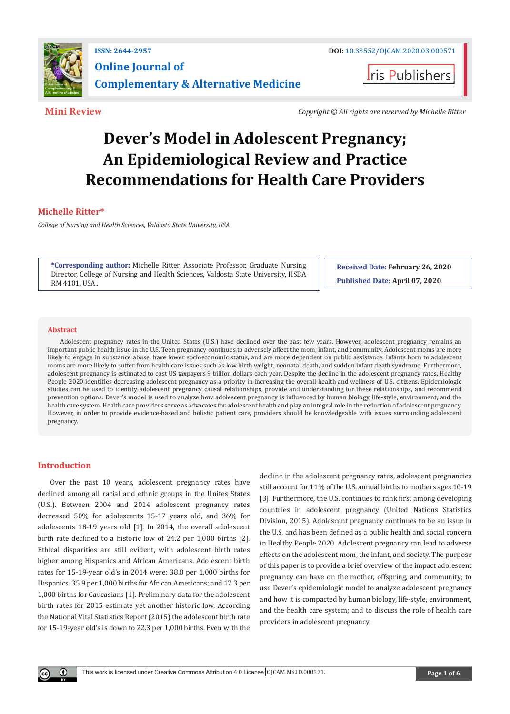

**I**ris Publishers

**Mini Review** *Copyright © All rights are reserved by Michelle Ritter*

# **Dever's Model in Adolescent Pregnancy; An Epidemiological Review and Practice Recommendations for Health Care Providers**

# **Michelle Ritter\***

*College of Nursing and Health Sciences, Valdosta State University, USA*

**\*Corresponding author:** Michelle Ritter, Associate Professor, Graduate Nursing Director, College of Nursing and Health Sciences, Valdosta State University, HSBA RM 4101, USA..

**Received Date: February 26, 2020 Published Date: April 07, 2020**

#### **Abstract**

Adolescent pregnancy rates in the United States (U.S.) have declined over the past few years. However, adolescent pregnancy remains an important public health issue in the U.S. Teen pregnancy continues to adversely affect the mom, infant, and community. Adolescent moms are more likely to engage in substance abuse, have lower socioeconomic status, and are more dependent on public assistance. Infants born to adolescent moms are more likely to suffer from health care issues such as low birth weight, neonatal death, and sudden infant death syndrome. Furthermore, adolescent pregnancy is estimated to cost US taxpayers 9 billion dollars each year. Despite the decline in the adolescent pregnancy rates, Healthy People 2020 identifies decreasing adolescent pregnancy as a priority in increasing the overall health and wellness of U.S. citizens. Epidemiologic studies can be used to identify adolescent pregnancy causal relationships, provide and understanding for these relationships, and recommend prevention options. Dever's model is used to analyze how adolescent pregnancy is influenced by human biology, life-style, environment, and the health care system. Health care providers serve as advocates for adolescent health and play an integral role in the reduction of adolescent pregnancy. However, in order to provide evidence-based and holistic patient care, providers should be knowledgeable with issues surrounding adolescent pregnancy.

### **Introduction**

Over the past 10 years, adolescent pregnancy rates have declined among all racial and ethnic groups in the Unites States (U.S.). Between 2004 and 2014 adolescent pregnancy rates decreased 50% for adolescents 15-17 years old, and 36% for adolescents 18-19 years old [1]. In 2014, the overall adolescent birth rate declined to a historic low of 24.2 per 1,000 births [2]. Ethical disparities are still evident, with adolescent birth rates higher among Hispanics and African Americans. Adolescent birth rates for 15-19-year old's in 2014 were: 38.0 per 1,000 births for Hispanics. 35.9 per 1,000 births for African Americans; and 17.3 per 1,000 births for Caucasians [1]. Preliminary data for the adolescent birth rates for 2015 estimate yet another historic low. According the National Vital Statistics Report (2015) the adolescent birth rate for 15-19-year old's is down to 22.3 per 1,000 births. Even with the

decline in the adolescent pregnancy rates, adolescent pregnancies still account for 11% of the U.S. annual births to mothers ages 10-19 [3]. Furthermore, the U.S. continues to rank first among developing countries in adolescent pregnancy (United Nations Statistics Division, 2015). Adolescent pregnancy continues to be an issue in the U.S. and has been defined as a public health and social concern in Healthy People 2020. Adolescent pregnancy can lead to adverse effects on the adolescent mom, the infant, and society. The purpose of this paper is to provide a brief overview of the impact adolescent pregnancy can have on the mother, offspring, and community; to use Dever's epidemiologic model to analyze adolescent pregnancy and how it is compacted by human biology, life-style, environment, and the health care system; and to discuss the role of health care providers in adolescent pregnancy.

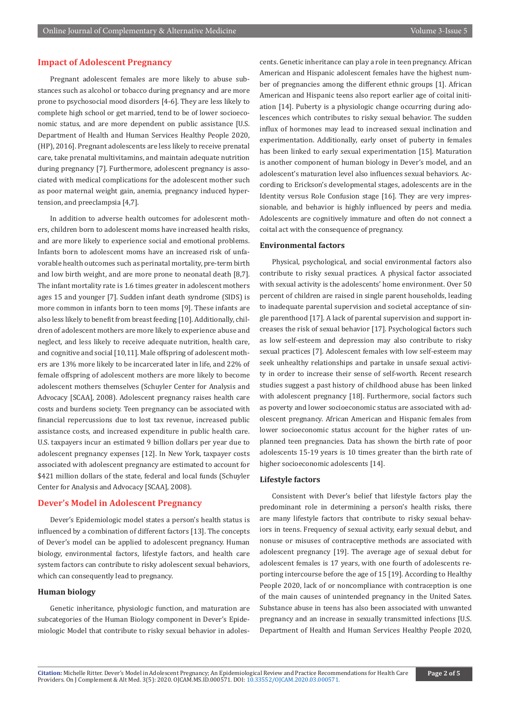## **Impact of Adolescent Pregnancy**

Pregnant adolescent females are more likely to abuse substances such as alcohol or tobacco during pregnancy and are more prone to psychosocial mood disorders [4-6]. They are less likely to complete high school or get married, tend to be of lower socioeconomic status, and are more dependent on public assistance [U.S. Department of Health and Human Services Healthy People 2020, (HP), 2016]. Pregnant adolescents are less likely to receive prenatal care, take prenatal multivitamins, and maintain adequate nutrition during pregnancy [7]. Furthermore, adolescent pregnancy is associated with medical complications for the adolescent mother such as poor maternal weight gain, anemia, pregnancy induced hypertension, and preeclampsia [4,7].

In addition to adverse health outcomes for adolescent mothers, children born to adolescent moms have increased health risks, and are more likely to experience social and emotional problems. Infants born to adolescent moms have an increased risk of unfavorable health outcomes such as perinatal mortality, pre-term birth and low birth weight, and are more prone to neonatal death [8,7]. The infant mortality rate is 1.6 times greater in adolescent mothers ages 15 and younger [7]. Sudden infant death syndrome (SIDS) is more common in infants born to teen moms [9]. These infants are also less likely to benefit from breast feeding [10]. Additionally, children of adolescent mothers are more likely to experience abuse and neglect, and less likely to receive adequate nutrition, health care, and cognitive and social [10,11]. Male offspring of adolescent mothers are 13% more likely to be incarcerated later in life, and 22% of female offspring of adolescent mothers are more likely to become adolescent mothers themselves (Schuyler Center for Analysis and Advocacy [SCAA], 2008). Adolescent pregnancy raises health care costs and burdens society. Teen pregnancy can be associated with financial repercussions due to lost tax revenue, increased public assistance costs, and increased expenditure in public health care. U.S. taxpayers incur an estimated 9 billion dollars per year due to adolescent pregnancy expenses [12]. In New York, taxpayer costs associated with adolescent pregnancy are estimated to account for \$421 million dollars of the state, federal and local funds (Schuyler Center for Analysis and Advocacy [SCAA], 2008).

#### **Dever's Model in Adolescent Pregnancy**

Dever's Epidemiologic model states a person's health status is influenced by a combination of different factors [13]. The concepts of Dever's model can be applied to adolescent pregnancy. Human biology, environmental factors, lifestyle factors, and health care system factors can contribute to risky adolescent sexual behaviors, which can consequently lead to pregnancy.

#### **Human biology**

Genetic inheritance, physiologic function, and maturation are subcategories of the Human Biology component in Dever's Epidemiologic Model that contribute to risky sexual behavior in adolescents. Genetic inheritance can play a role in teen pregnancy. African American and Hispanic adolescent females have the highest number of pregnancies among the different ethnic groups [1]. African American and Hispanic teens also report earlier age of coital initiation [14]. Puberty is a physiologic change occurring during adolescences which contributes to risky sexual behavior. The sudden influx of hormones may lead to increased sexual inclination and experimentation. Additionally, early onset of puberty in females has been linked to early sexual experimentation [15]. Maturation is another component of human biology in Dever's model, and an adolescent's maturation level also influences sexual behaviors. According to Erickson's developmental stages, adolescents are in the Identity versus Role Confusion stage [16]. They are very impressionable, and behavior is highly influenced by peers and media. Adolescents are cognitively immature and often do not connect a coital act with the consequence of pregnancy.

#### **Environmental factors**

Physical, psychological, and social environmental factors also contribute to risky sexual practices. A physical factor associated with sexual activity is the adolescents' home environment. Over 50 percent of children are raised in single parent households, leading to inadequate parental supervision and societal acceptance of single parenthood [17]. A lack of parental supervision and support increases the risk of sexual behavior [17]. Psychological factors such as low self-esteem and depression may also contribute to risky sexual practices [7]. Adolescent females with low self-esteem may seek unhealthy relationships and partake in unsafe sexual activity in order to increase their sense of self-worth. Recent research studies suggest a past history of childhood abuse has been linked with adolescent pregnancy [18]. Furthermore, social factors such as poverty and lower socioeconomic status are associated with adolescent pregnancy. African American and Hispanic females from lower socioeconomic status account for the higher rates of unplanned teen pregnancies. Data has shown the birth rate of poor adolescents 15-19 years is 10 times greater than the birth rate of higher socioeconomic adolescents [14].

#### **Lifestyle factors**

Consistent with Dever's belief that lifestyle factors play the predominant role in determining a person's health risks, there are many lifestyle factors that contribute to risky sexual behaviors in teens. Frequency of sexual activity, early sexual debut, and nonuse or misuses of contraceptive methods are associated with adolescent pregnancy [19]. The average age of sexual debut for adolescent females is 17 years, with one fourth of adolescents reporting intercourse before the age of 15 [19]. According to Healthy People 2020, lack of or noncompliance with contraception is one of the main causes of unintended pregnancy in the United Sates. Substance abuse in teens has also been associated with unwanted pregnancy and an increase in sexually transmitted infections [U.S. Department of Health and Human Services Healthy People 2020,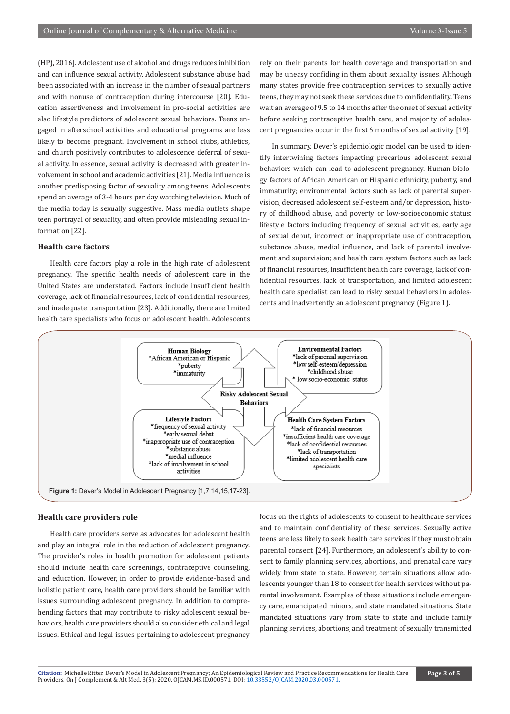(HP), 2016]. Adolescent use of alcohol and drugs reduces inhibition and can influence sexual activity. Adolescent substance abuse had been associated with an increase in the number of sexual partners and with nonuse of contraception during intercourse [20]. Education assertiveness and involvement in pro-social activities are also lifestyle predictors of adolescent sexual behaviors. Teens engaged in afterschool activities and educational programs are less likely to become pregnant. Involvement in school clubs, athletics, and church positively contributes to adolescence deferral of sexual activity. In essence, sexual activity is decreased with greater involvement in school and academic activities [21]. Media influence is another predisposing factor of sexuality among teens. Adolescents spend an average of 3-4 hours per day watching television. Much of the media today is sexually suggestive. Mass media outlets shape teen portrayal of sexuality, and often provide misleading sexual information [22].

#### **Health care factors**

Health care factors play a role in the high rate of adolescent pregnancy. The specific health needs of adolescent care in the United States are understated. Factors include insufficient health coverage, lack of financial resources, lack of confidential resources, and inadequate transportation [23]. Additionally, there are limited health care specialists who focus on adolescent health. Adolescents rely on their parents for health coverage and transportation and may be uneasy confiding in them about sexuality issues. Although many states provide free contraception services to sexually active teens, they may not seek these services due to confidentiality. Teens wait an average of 9.5 to 14 months after the onset of sexual activity before seeking contraceptive health care, and majority of adolescent pregnancies occur in the first 6 months of sexual activity [19].

In summary, Dever's epidemiologic model can be used to identify intertwining factors impacting precarious adolescent sexual behaviors which can lead to adolescent pregnancy. Human biology factors of African American or Hispanic ethnicity, puberty, and immaturity; environmental factors such as lack of parental supervision, decreased adolescent self-esteem and/or depression, history of childhood abuse, and poverty or low-socioeconomic status; lifestyle factors including frequency of sexual activities, early age of sexual debut, incorrect or inappropriate use of contraception, substance abuse, medial influence, and lack of parental involvement and supervision; and health care system factors such as lack of financial resources, insufficient health care coverage, lack of confidential resources, lack of transportation, and limited adolescent health care specialist can lead to risky sexual behaviors in adolescents and inadvertently an adolescent pregnancy (Figure 1).



#### **Health care providers role**

Health care providers serve as advocates for adolescent health and play an integral role in the reduction of adolescent pregnancy. The provider's roles in health promotion for adolescent patients should include health care screenings, contraceptive counseling, and education. However, in order to provide evidence-based and holistic patient care, health care providers should be familiar with issues surrounding adolescent pregnancy. In addition to comprehending factors that may contribute to risky adolescent sexual behaviors, health care providers should also consider ethical and legal issues. Ethical and legal issues pertaining to adolescent pregnancy

focus on the rights of adolescents to consent to healthcare services and to maintain confidentiality of these services. Sexually active teens are less likely to seek health care services if they must obtain parental consent [24]. Furthermore, an adolescent's ability to consent to family planning services, abortions, and prenatal care vary widely from state to state. However, certain situations allow adolescents younger than 18 to consent for health services without parental involvement. Examples of these situations include emergency care, emancipated minors, and state mandated situations. State mandated situations vary from state to state and include family planning services, abortions, and treatment of sexually transmitted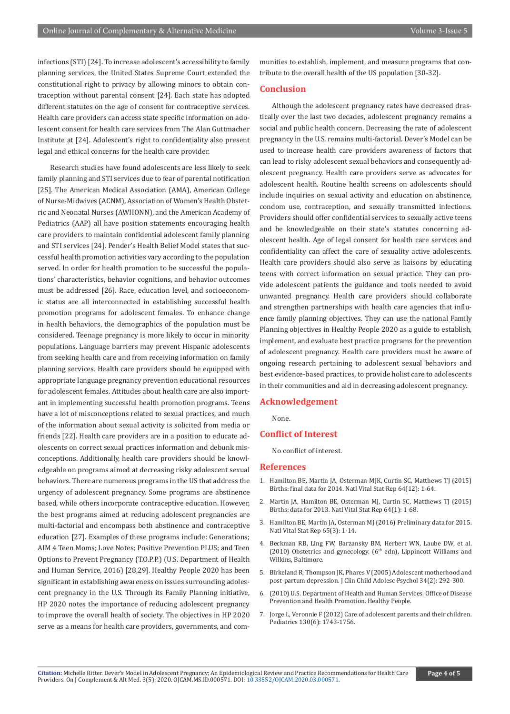infections (STI) [24]. To increase adolescent's accessibility to family planning services, the United States Supreme Court extended the constitutional right to privacy by allowing minors to obtain contraception without parental consent [24]. Each state has adopted different statutes on the age of consent for contraceptive services. Health care providers can access state specific information on adolescent consent for health care services from The Alan Guttmacher Institute at [24]. Adolescent's right to confidentiality also present legal and ethical concerns for the health care provider.

Research studies have found adolescents are less likely to seek family planning and STI services due to fear of parental notification [25]. The American Medical Association (AMA), American College of Nurse-Midwives (ACNM), Association of Women's Health Obstetric and Neonatal Nurses (AWHONN), and the American Academy of Pediatrics (AAP) all have position statements encouraging health care providers to maintain confidential adolescent family planning and STI services [24]. Pender's Health Belief Model states that successful health promotion activities vary according to the population served. In order for health promotion to be successful the populations' characteristics, behavior cognitions, and behavior outcomes must be addressed [26]. Race, education level, and socioeconomic status are all interconnected in establishing successful health promotion programs for adolescent females. To enhance change in health behaviors, the demographics of the population must be considered. Teenage pregnancy is more likely to occur in minority populations. Language barriers may prevent Hispanic adolescents from seeking health care and from receiving information on family planning services. Health care providers should be equipped with appropriate language pregnancy prevention educational resources for adolescent females. Attitudes about health care are also important in implementing successful health promotion programs. Teens have a lot of misconceptions related to sexual practices, and much of the information about sexual activity is solicited from media or friends [22]. Health care providers are in a position to educate adolescents on correct sexual practices information and debunk misconceptions. Additionally, health care providers should be knowledgeable on programs aimed at decreasing risky adolescent sexual behaviors. There are numerous programs in the US that address the urgency of adolescent pregnancy. Some programs are abstinence based, while others incorporate contraceptive education. However, the best programs aimed at reducing adolescent pregnancies are multi-factorial and encompass both abstinence and contraceptive education [27]. Examples of these programs include: Generations; AIM 4 Teen Moms; Love Notes; Positive Prevention PLUS; and Teen Options to Prevent Pregnancy (T.O.P.P.) (U.S. Department of Health and Human Service, 2016) [28,29]. Healthy People 2020 has been significant in establishing awareness on issues surrounding adolescent pregnancy in the U.S. Through its Family Planning initiative, HP 2020 notes the importance of reducing adolescent pregnancy to improve the overall health of society. The objectives in HP 2020 serve as a means for health care providers, governments, and communities to establish, implement, and measure programs that contribute to the overall health of the US population [30-32].

### **Conclusion**

Although the adolescent pregnancy rates have decreased drastically over the last two decades, adolescent pregnancy remains a social and public health concern. Decreasing the rate of adolescent pregnancy in the U.S. remains multi-factorial. Dever's Model can be used to increase health care providers awareness of factors that can lead to risky adolescent sexual behaviors and consequently adolescent pregnancy. Health care providers serve as advocates for adolescent health. Routine health screens on adolescents should include inquiries on sexual activity and education on abstinence, condom use, contraception, and sexually transmitted infections. Providers should offer confidential services to sexually active teens and be knowledgeable on their state's statutes concerning adolescent health. Age of legal consent for health care services and confidentiality can affect the care of sexuality active adolescents. Health care providers should also serve as liaisons by educating teens with correct information on sexual practice. They can provide adolescent patients the guidance and tools needed to avoid unwanted pregnancy. Health care providers should collaborate and strengthen partnerships with health care agencies that influence family planning objectives. They can use the national Family Planning objectives in Healthy People 2020 as a guide to establish, implement, and evaluate best practice programs for the prevention of adolescent pregnancy. Health care providers must be aware of ongoing research pertaining to adolescent sexual behaviors and best evidence-based practices, to provide holist care to adolescents in their communities and aid in decreasing adolescent pregnancy.

#### **Acknowledgement**

None.

#### **Conflict of Interest**

No conflict of interest.

#### **References**

- 1. [Hamilton BE, Martin JA, Osterman MJK, Curtin SC, Matthews TJ \(2015\)](https://www.ncbi.nlm.nih.gov/pubmed/26727629)  [Births: final data for 2014. Natl Vital Stat Rep 64\(12\): 1-64.](https://www.ncbi.nlm.nih.gov/pubmed/26727629)
- 2. Martin JA, Hamilton BE, Osterman MJ, Curtin SC, Matthews TJ (2015) [Births: data for 2013. Natl Vital Stat Rep 64\(1\): 1-68.](https://www.ncbi.nlm.nih.gov/pubmed/25603115)
- 3. [Hamilton BE, Martin JA, Osterman MJ \(2016\) Preliminary data for 2015.](https://www.ncbi.nlm.nih.gov/pubmed/27309256)  [Natl Vital Stat Rep 65\(3\): 1-14.](https://www.ncbi.nlm.nih.gov/pubmed/27309256)
- 4. Beckman RB, Ling FW, Barzansky BM, Herbert WN, Laube DW, et al. (2010) Obstetrics and gynecology.  $(6<sup>th</sup> edn)$ , Lippincott Williams and Wilkins, Baltimore.
- 5. [Birkeland R, Thompson JK, Phares V \(2005\) Adolescent motherhood and](https://www.ncbi.nlm.nih.gov/pubmed/15901229)  [post-partum depression. J Clin Child Adolesc Psychol 34\(2\): 292-300.](https://www.ncbi.nlm.nih.gov/pubmed/15901229)
- 6. (2010) U.S. Department of Health and Human Services. Office of Disease Prevention and Health Promotion. Healthy People.
- 7. [Jorge L, Veronnie F \(2012\) Care of adolescent parents and their children.](https://www.ncbi.nlm.nih.gov/pubmed/23184113)  [Pediatrics 130\(6\): 1743-1756.](https://www.ncbi.nlm.nih.gov/pubmed/23184113)